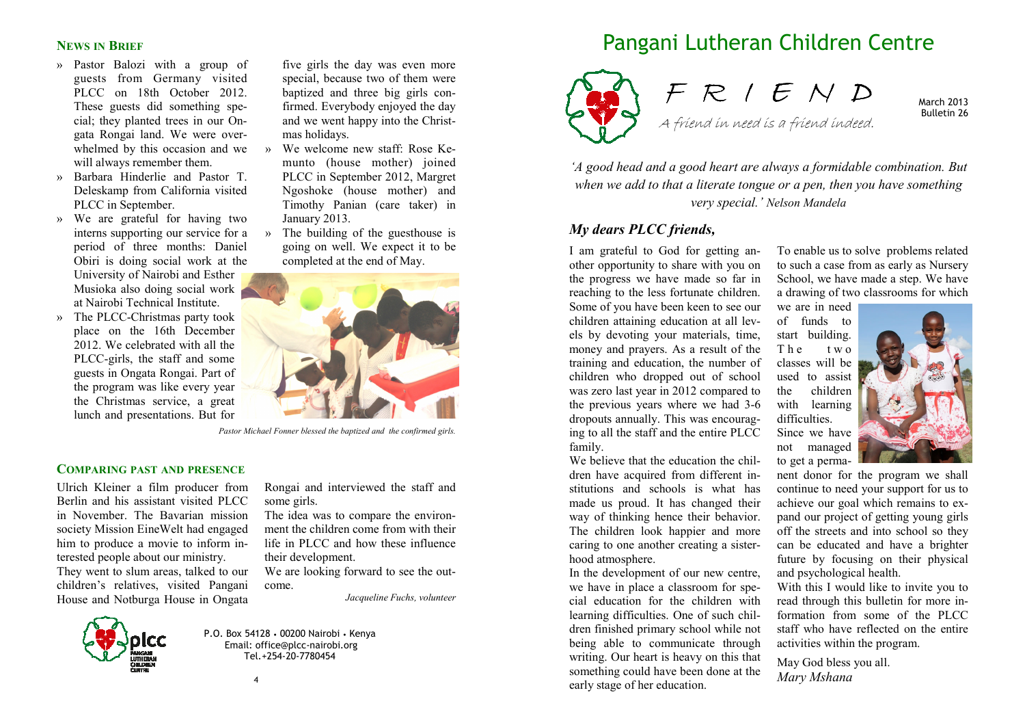## **NEWS IN BRIEF**

- » Pastor Balozi with a group of guests from Germany visited PLCC on 18th October 2012. These guests did something special; they planted trees in our Ongata Rongai land. We were overwhelmed by this occasion and we  $\rightarrow$ will always remember them.
- » Barbara Hinderlie and Pastor T. Deleskamp from California visited PLCC in September.
- » We are grateful for having two interns supporting our service for a period of three months: Daniel Obiri is doing social work at the University of Nairobi and Esther Musioka also doing social work at Nairobi Technical Institute.
- » The PLCC-Christmas party took place on the 16th December 2012. We celebrated with all the PLCC-girls, the staff and some guests in Ongata Rongai. Part of the program was like every year the Christmas service, a great lunch and presentations. But for
- five girls the day was even more special, because two of them were baptized and three big girls confirmed. Everybody enjoyed the day and we went happy into the Christmas holidays.
- » We welcome new staff: Rose Kemunto (house mother) joined PLCC in September 2012, Margret Ngoshoke (house mother) and Timothy Panian (care taker) in January 2013.
- » The building of the guesthouse is going on well. We expect it to be completed at the end of May.



*Pastor Michael Fonner blessed the baptized and the confirmed girls.*

# **COMPARING PAST AND PRESENCE**

Ulrich Kleiner a film producer from Berlin and his assistant visited PLCC in November. The Bavarian mission society Mission EineWelt had engaged him to produce a movie to inform interested people about our ministry.

 They went to slum areas, talked to our children's relatives, visited Pangani House and Notburga House in Ongata Rongai and interviewed the staff and some girls.

 The idea was to compare the environment the children come from with their life in PLCC and how these influence their development.

 We are looking forward to see the outcome.

*Jacqueline Fuchs, volunteer* 



P.O. Box 54128 • 00200 Nairobi • Kenya Email: office@plcc-nairobi.org Tel.+254-20-7780454

# Pangani Lutheran Children Centre



F R I E N D A friend in need is a friend indeed.

March 2013 Bulletin 26

*'A good head and a good heart are always a formidable combination. But when we add to that a literate tongue or a pen, then you have something very special.' Nelson Mandela* 

#### *My dears PLCC friends,*

I am grateful to God for getting another opportunity to share with you on the progress we have made so far in reaching to the less fortunate children. Some of you have been keen to see our children attaining education at all levels by devoting your materials, time, money and prayers. As a result of the training and education, the number of children who dropped out of school was zero last year in 2012 compared to the previous years where we had 3-6 dropouts annually. This was encouraging to all the staff and the entire PLCC family.

 We believe that the education the children have acquired from different institutions and schools is what has made us proud. It has changed their way of thinking hence their behavior. The children look happier and more caring to one another creating a sisterhood atmosphere.

 In the development of our new centre, we have in place a classroom for special education for the children with learning difficulties. One of such children finished primary school while not being able to communicate through writing. Our heart is heavy on this that something could have been done at the early stage of her education.

To enable us to solve problems related to such a case from as early as Nursery School, we have made a step. We have a drawing of two classrooms for which

we are in need of funds to start building. <sup>T</sup> <sup>h</sup> <sup>e</sup> <sup>t</sup> <sup>w</sup> <sup>o</sup> classes will be used to assist the children with learning difficulties. Since we have not managed to get a perma-



nent donor for the program we shall continue to need your support for us to achieve our goal which remains to expand our project of getting young girls off the streets and into school so they can be educated and have a brighter future by focusing on their physical and psychological health.

 With this I would like to invite you to read through this bulletin for more information from some of the PLCC staff who have reflected on the entire activities within the program.

May God bless you all. *Mary Mshana* 

4